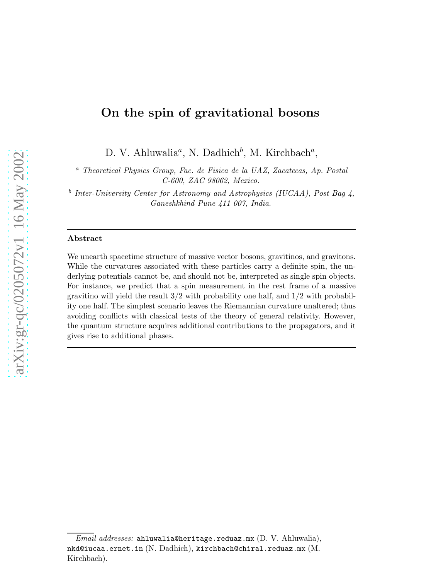# On the spin of gravitational bosons

D. V. Ahluwalia<sup>*a*</sup>, N. Dadhich<sup>*b*</sup>, M. Kirchbach<sup>*a*</sup>,

 $a$  Theoretical Physics Group, Fac. de Fisica de la UAZ, Zacatecas, Ap. Postal C-600, ZAC 98062, Mexico.

<sup>b</sup> Inter-University Center for Astronomy and Astrophysics (IUCAA), Post Bag 4, Ganeshkhind Pune 411 007, India.

### Abstract

We unearth spacetime structure of massive vector bosons, gravitinos, and gravitons. While the curvatures associated with these particles carry a definite spin, the underlying potentials cannot be, and should not be, interpreted as single spin objects. For instance, we predict that a spin measurement in the rest frame of a massive gravitino will yield the result  $3/2$  with probability one half, and  $1/2$  with probability one half. The simplest scenario leaves the Riemannian curvature unaltered; thus avoiding conflicts with classical tests of the theory of general relativity. However, the quantum structure acquires additional contributions to the propagators, and it gives rise to additional phases.

Email addresses: ahluwalia@heritage.reduaz.mx (D. V. Ahluwalia), nkd@iucaa.ernet.in (N. Dadhich), kirchbach@chiral.reduaz.mx (M. Kirchbach).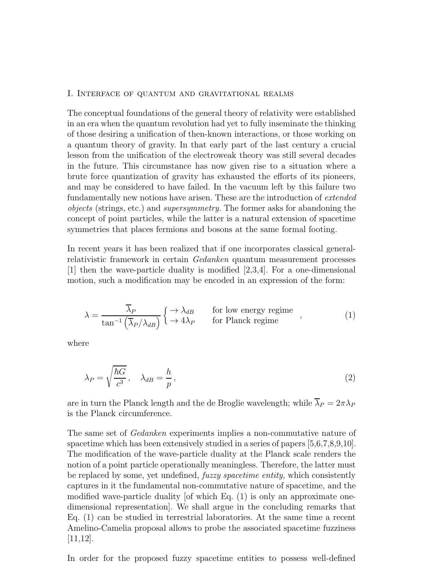#### I. Interface of quantum and gravitational realms

The conceptual foundations of the general theory of relativity were established in an era when the quantum revolution had yet to fully inseminate the thinking of those desiring a unification of then-known interactions, or those working on a quantum theory of gravity. In that early part of the last century a crucial lesson from the unification of the electroweak theory was still several decades in the future. This circumstance has now given rise to a situation where a brute force quantization of gravity has exhausted the efforts of its pioneers, and may be considered to have failed. In the vacuum left by this failure two fundamentally new notions have arisen. These are the introduction of extended objects (strings, etc.) and supersymmetry. The former asks for abandoning the concept of point particles, while the latter is a natural extension of spacetime symmetries that places fermions and bosons at the same formal footing.

In recent years it has been realized that if one incorporates classical generalrelativistic framework in certain Gedanken quantum measurement processes [1] then the wave-particle duality is modified [2,3,4]. For a one-dimensional motion, such a modification may be encoded in an expression of the form:

$$
\lambda = \frac{\overline{\lambda}_P}{\tan^{-1}(\overline{\lambda}_P/\lambda_{dB})} \begin{cases} \rightarrow \lambda_{dB} & \text{for low energy regime} \\ \rightarrow 4\lambda_P & \text{for Planck regime} \end{cases} , \tag{1}
$$

where

$$
\lambda_P = \sqrt{\frac{\hbar G}{c^3}}, \quad \lambda_{dB} = \frac{h}{p},\tag{2}
$$

are in turn the Planck length and the de Broglie wavelength; while  $\overline{\lambda}_P = 2\pi\lambda_P$ is the Planck circumference.

The same set of *Gedanken* experiments implies a non-commutative nature of spacetime which has been extensively studied in a series of papers [5,6,7,8,9,10]. The modification of the wave-particle duality at the Planck scale renders the notion of a point particle operationally meaningless. Therefore, the latter must be replaced by some, yet undefined, fuzzy spacetime entity, which consistently captures in it the fundamental non-commutative nature of spacetime, and the modified wave-particle duality  $[of which Eq. (1)]$  is only an approximate onedimensional representation]. We shall argue in the concluding remarks that Eq. (1) can be studied in terrestrial laboratories. At the same time a recent Amelino-Camelia proposal allows to probe the associated spacetime fuzziness [11,12].

In order for the proposed fuzzy spacetime entities to possess well-defined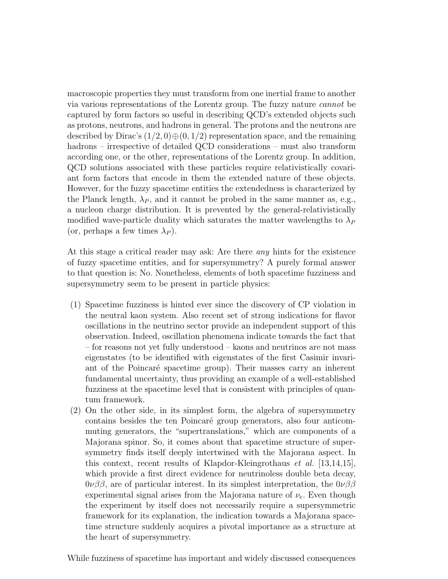macroscopic properties they must transform from one inertial frame to another via various representations of the Lorentz group. The fuzzy nature cannot be captured by form factors so useful in describing QCD's extended objects such as protons, neutrons, and hadrons in general. The protons and the neutrons are described by Dirac's  $(1/2, 0) \oplus (0, 1/2)$  representation space, and the remaining hadrons – irrespective of detailed QCD considerations – must also transform according one, or the other, representations of the Lorentz group. In addition, QCD solutions associated with these particles require relativistically covariant form factors that encode in them the extended nature of these objects. However, for the fuzzy spacetime entities the extendedness is characterized by the Planck length,  $\lambda_P$ , and it cannot be probed in the same manner as, e.g., a nucleon charge distribution. It is prevented by the general-relativistically modified wave-particle duality which saturates the matter wavelengths to  $\lambda_P$ (or, perhaps a few times  $\lambda_P$ ).

At this stage a critical reader may ask: Are there any hints for the existence of fuzzy spacetime entities, and for supersymmetry? A purely formal answer to that question is: No. Nonetheless, elements of both spacetime fuzziness and supersymmetry seem to be present in particle physics:

- (1) Spacetime fuzziness is hinted ever since the discovery of CP violation in the neutral kaon system. Also recent set of strong indications for flavor oscillations in the neutrino sector provide an independent support of this observation. Indeed, oscillation phenomena indicate towards the fact that – for reasons not yet fully understood – kaons and neutrinos are not mass eigenstates (to be identified with eigenstates of the first Casimir invariant of the Poincaré spacetime group). Their masses carry an inherent fundamental uncertainty, thus providing an example of a well-established fuzziness at the spacetime level that is consistent with principles of quantum framework.
- (2) On the other side, in its simplest form, the algebra of supersymmetry contains besides the ten Poincaré group generators, also four anticommuting generators, the "supertranslations," which are components of a Majorana spinor. So, it comes about that spacetime structure of supersymmetry finds itself deeply intertwined with the Majorana aspect. In this context, recent results of Klapdor-Kleingrothaus et al. [13,14,15], which provide a first direct evidence for neutrinoless double beta decay,  $0\nu\beta\beta$ , are of particular interest. In its simplest interpretation, the  $0\nu\beta\beta$ experimental signal arises from the Majorana nature of  $\nu_e$ . Even though the experiment by itself does not necessarily require a supersymmetric framework for its explanation, the indication towards a Majorana spacetime structure suddenly acquires a pivotal importance as a structure at the heart of supersymmetry.

While fuzziness of spacetime has important and widely discussed consequences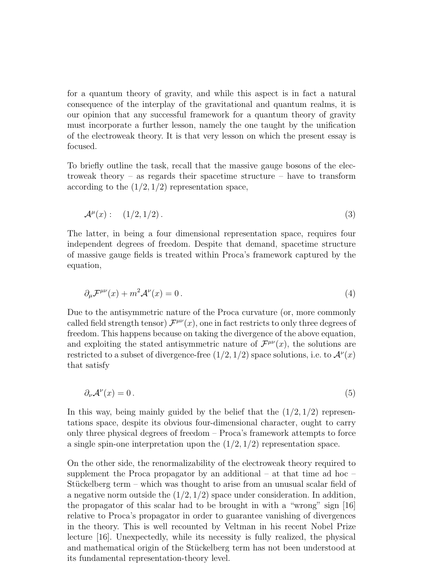for a quantum theory of gravity, and while this aspect is in fact a natural consequence of the interplay of the gravitational and quantum realms, it is our opinion that any successful framework for a quantum theory of gravity must incorporate a further lesson, namely the one taught by the unification of the electroweak theory. It is that very lesson on which the present essay is focused.

To briefly outline the task, recall that the massive gauge bosons of the electroweak theory – as regards their spacetime structure – have to transform according to the  $(1/2, 1/2)$  representation space,

$$
\mathcal{A}^{\mu}(x): \quad (1/2, 1/2). \tag{3}
$$

The latter, in being a four dimensional representation space, requires four independent degrees of freedom. Despite that demand, spacetime structure of massive gauge fields is treated within Proca's framework captured by the equation,

$$
\partial_{\mu} \mathcal{F}^{\mu\nu}(x) + m^2 \mathcal{A}^{\nu}(x) = 0.
$$
 (4)

Due to the antisymmetric nature of the Proca curvature (or, more commonly called field strength tensor)  $\mathcal{F}^{\mu\nu}(x)$ , one in fact restricts to only three degrees of freedom. This happens because on taking the divergence of the above equation, and exploiting the stated antisymmetric nature of  $\mathcal{F}^{\mu\nu}(x)$ , the solutions are restricted to a subset of divergence-free  $(1/2, 1/2)$  space solutions, i.e. to  $\mathcal{A}^{\nu}(x)$ that satisfy

$$
\partial_{\nu} \mathcal{A}^{\nu}(x) = 0. \tag{5}
$$

In this way, being mainly guided by the belief that the  $(1/2, 1/2)$  representations space, despite its obvious four-dimensional character, ought to carry only three physical degrees of freedom – Proca's framework attempts to force a single spin-one interpretation upon the  $(1/2, 1/2)$  representation space.

On the other side, the renormalizability of the electroweak theory required to supplement the Proca propagator by an additional – at that time ad hoc – Stückelberg term – which was thought to arise from an unusual scalar field of a negative norm outside the  $(1/2, 1/2)$  space under consideration. In addition, the propagator of this scalar had to be brought in with a "wrong" sign [16] relative to Proca's propagator in order to guarantee vanishing of divergences in the theory. This is well recounted by Veltman in his recent Nobel Prize lecture [16]. Unexpectedly, while its necessity is fully realized, the physical and mathematical origin of the Stückelberg term has not been understood at its fundamental representation-theory level.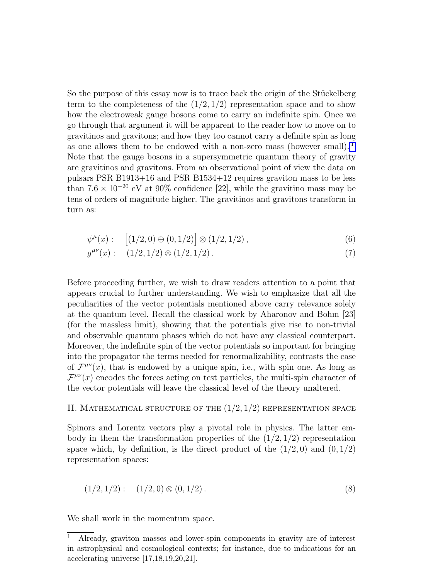So the purpose of this essay now is to trace back the origin of the Stückelberg term to the completeness of the  $(1/2, 1/2)$  representation space and to show how the electroweak gauge bosons come to carry an indefinite spin. Once we go through that argument it will be apparent to the reader how to move on to gravitinos and gravitons; and how they too cannot carry a definite spin as long as one allows them to be endowed with a non-zero mass (however small). <sup>1</sup> Note that the gauge bosons in a supersymmetric quantum theory of gravity are gravitinos and gravitons. From an observational point of view the data on pulsars PSR B1913+16 and PSR B1534+12 requires graviton mass to be less than  $7.6 \times 10^{-20}$  eV at 90% confidence [22], while the gravitino mass may be tens of orders of magnitude higher. The gravitinos and gravitons transform in turn as:

$$
\psi^{\mu}(x): \quad [(1/2, 0) \oplus (0, 1/2)] \otimes (1/2, 1/2), \tag{6}
$$

$$
g^{\mu\nu}(x): \quad (1/2, 1/2) \otimes (1/2, 1/2). \tag{7}
$$

Before proceeding further, we wish to draw readers attention to a point that appears crucial to further understanding. We wish to emphasize that all the peculiarities of the vector potentials mentioned above carry relevance solely at the quantum level. Recall the classical work by Aharonov and Bohm [23] (for the massless limit), showing that the potentials give rise to non-trivial and observable quantum phases which do not have any classical counterpart. Moreover, the indefinite spin of the vector potentials so important for bringing into the propagator the terms needed for renormalizability, contrasts the case of  $\mathcal{F}^{\mu\nu}(x)$ , that is endowed by a unique spin, i.e., with spin one. As long as  $\mathcal{F}^{\mu\nu}(x)$  encodes the forces acting on test particles, the multi-spin character of the vector potentials will leave the classical level of the theory unaltered.

## II. MATHEMATICAL STRUCTURE OF THE  $(1/2, 1/2)$  representation space

Spinors and Lorentz vectors play a pivotal role in physics. The latter embody in them the transformation properties of the  $(1/2, 1/2)$  representation space which, by definition, is the direct product of the  $(1/2, 0)$  and  $(0, 1/2)$ representation spaces:

$$
(1/2, 1/2): (1/2, 0) \otimes (0, 1/2).
$$
 (8)

We shall work in the momentum space.

<sup>1</sup> Already, graviton masses and lower-spin components in gravity are of interest in astrophysical and cosmological contexts; for instance, due to indications for an accelerating universe [17,18,19,20,21].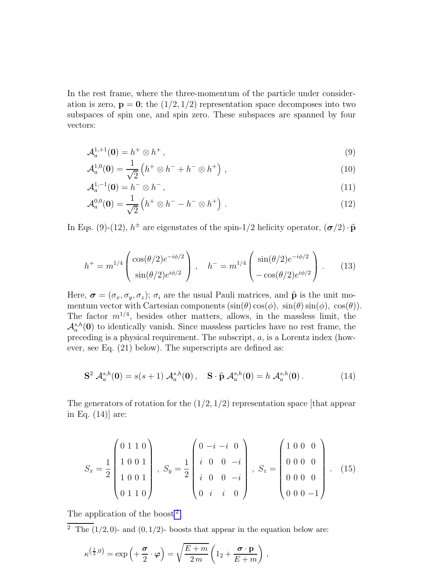In the rest frame, where the three-momentum of the particle under consideration is zero,  $\mathbf{p} = \mathbf{0}$ ; the  $(1/2, 1/2)$  representation space decomposes into two subspaces of spin one, and spin zero. These subspaces are spanned by four vectors:

$$
\mathcal{A}_a^{1,+1}(\mathbf{0}) = h^+ \otimes h^+, \tag{9}
$$

$$
\mathcal{A}_a^{1,0}(\mathbf{0}) = \frac{1}{\sqrt{2}} \left( h^+ \otimes h^- + h^- \otimes h^+ \right) , \qquad (10)
$$

$$
\mathcal{A}_a^{1,-1}(0) = h^- \otimes h^-, \tag{11}
$$

$$
\mathcal{A}_a^{0,0}(\mathbf{0}) = \frac{1}{\sqrt{2}} \left( h^+ \otimes h^- - h^- \otimes h^+ \right) . \tag{12}
$$

In Eqs. (9)-(12),  $h^{\pm}$  are eigenstates of the spin-1/2 helicity operator,  $(\sigma/2) \cdot \hat{\mathbf{p}}$ 

$$
h^{+} = m^{1/4} \begin{pmatrix} \cos(\theta/2)e^{-i\phi/2} \\ \sin(\theta/2)e^{i\phi/2} \end{pmatrix}, \quad h^{-} = m^{1/4} \begin{pmatrix} \sin(\theta/2)e^{-i\phi/2} \\ -\cos(\theta/2)e^{i\phi/2} \end{pmatrix}.
$$
 (13)

Here,  $\boldsymbol{\sigma} = (\sigma_x, \sigma_y, \sigma_z)$ ;  $\sigma_i$  are the usual Pauli matrices, and  $\hat{\mathbf{p}}$  is the unit momentum vector with Cartesian components  $(\sin(\theta) \cos(\phi), \sin(\theta) \sin(\phi), \cos(\theta)).$ The factor  $m^{1/4}$ , besides other matters, allows, in the massless limit, the  $\mathcal{A}_a^{s,h}(0)$  to identically vanish. Since massless particles have no rest frame, the preceding is a physical requirement. The subscript, a, is a Lorentz index (however, see Eq. (21) below). The superscripts are defined as:

$$
S^{2} \mathcal{A}_{a}^{s,h}(0) = s(s+1) \mathcal{A}_{a}^{s,h}(0), \quad S \cdot \hat{p} \mathcal{A}_{a}^{s,h}(0) = h \mathcal{A}_{a}^{s,h}(0). \tag{14}
$$

The generators of rotation for the  $(1/2, 1/2)$  representation space [that appear in Eq. (14)] are:

$$
S_x = \frac{1}{2} \begin{pmatrix} 0 & 1 & 1 & 0 \\ 1 & 0 & 0 & 1 \\ 1 & 0 & 0 & 1 \\ 0 & 1 & 1 & 0 \end{pmatrix}, S_y = \frac{1}{2} \begin{pmatrix} 0 & -i & -i & 0 \\ i & 0 & 0 & -i \\ i & 0 & 0 & -i \\ 0 & i & i & 0 \end{pmatrix}, S_z = \begin{pmatrix} 1 & 0 & 0 & 0 \\ 0 & 0 & 0 & 0 \\ 0 & 0 & 0 & 0 \\ 0 & 0 & 0 & -1 \end{pmatrix}.
$$
 (15)

The application of the boost<sup>2</sup>

<sup>2</sup> The  $(1/2, 0)$ - and  $(0, 1/2)$ - boosts that appear in the equation below are:

$$
\kappa^{\left(\frac{1}{2},0\right)} = \exp\left(+\frac{\boldsymbol{\sigma}}{2}\cdot\boldsymbol{\varphi}\right) = \sqrt{\frac{E+m}{2m}}\left(1_2 + \frac{\boldsymbol{\sigma}\cdot\mathbf{p}}{E+m}\right),\,
$$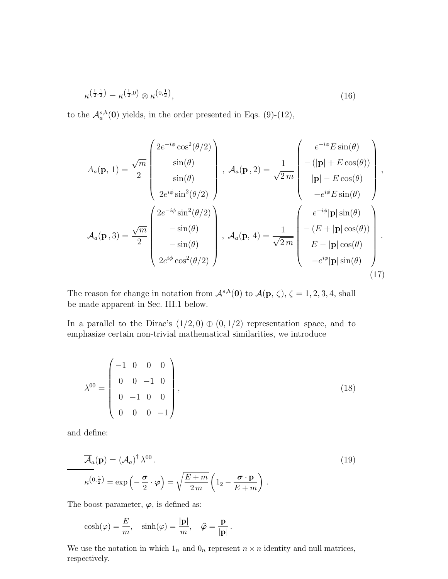$$
\kappa^{\left(\frac{1}{2},\frac{1}{2}\right)} = \kappa^{\left(\frac{1}{2},0\right)} \otimes \kappa^{\left(0,\frac{1}{2}\right)},\tag{16}
$$

to the  $\mathcal{A}_a^{s,h}(\mathbf{0})$  yields, in the order presented in Eqs. (9)-(12),

$$
A_a(\mathbf{p}, 1) = \frac{\sqrt{m}}{2} \begin{pmatrix} 2e^{-i\phi}\cos^2(\theta/2) \\ \sin(\theta) \\ \sin(\theta) \\ 2e^{i\phi}\sin^2(\theta/2) \end{pmatrix}, A_a(\mathbf{p}, 2) = \frac{1}{\sqrt{2m}} \begin{pmatrix} e^{-i\phi}E\sin(\theta) \\ -(|\mathbf{p}| + E\cos(\theta)) \\ |\mathbf{p}| - E\cos(\theta) \\ -e^{i\phi}E\sin(\theta) \end{pmatrix},
$$

$$
A_a(\mathbf{p}, 3) = \frac{\sqrt{m}}{2} \begin{pmatrix} 2e^{-i\phi}\sin^2(\theta/2) \\ -\sin(\theta) \\ -\sin(\theta) \\ 2e^{i\phi}\cos^2(\theta/2) \end{pmatrix}, A_a(\mathbf{p}, 4) = \frac{1}{\sqrt{2m}} \begin{pmatrix} e^{-i\phi}|\mathbf{p}|\sin(\theta) \\ -(E + |\mathbf{p}|\cos(\theta)) \\ -E - |\mathbf{p}|\cos(\theta) \\ -e^{i\phi}|\mathbf{p}|\sin(\theta) \end{pmatrix}.
$$
(17)

The reason for change in notation from  $\mathcal{A}^{s,h}(0)$  to  $\mathcal{A}(\mathbf{p}, \zeta), \zeta = 1, 2, 3, 4$ , shall be made apparent in Sec. III.1 below.

In a parallel to the Dirac's  $(1/2, 0) \oplus (0, 1/2)$  representation space, and to emphasize certain non-trivial mathematical similarities, we introduce

$$
\lambda^{00} = \begin{pmatrix} -1 & 0 & 0 & 0 \\ 0 & 0 & -1 & 0 \\ 0 & -1 & 0 & 0 \\ 0 & 0 & 0 & -1 \end{pmatrix},
$$
\n(18)

and define:

$$
\overline{\mathcal{A}}_a(\mathbf{p}) = (\mathcal{A}_a)^{\dagger} \lambda^{00}.
$$
\n
$$
\kappa^{(0,\frac{1}{2})} = \exp\left(-\frac{\boldsymbol{\sigma}}{2} \cdot \boldsymbol{\varphi}\right) = \sqrt{\frac{E+m}{2m}} \left(1_2 - \frac{\boldsymbol{\sigma} \cdot \mathbf{p}}{E+m}\right).
$$
\n(19)

The boost parameter,  $\varphi$ , is defined as:

$$
\cosh(\varphi) = \frac{E}{m}, \quad \sinh(\varphi) = \frac{|\mathbf{p}|}{m}, \quad \widehat{\varphi} = \frac{\mathbf{p}}{|\mathbf{p}|}.
$$

We use the notation in which  $1_n$  and  $0_n$  represent  $n \times n$  identity and null matrices, respectively.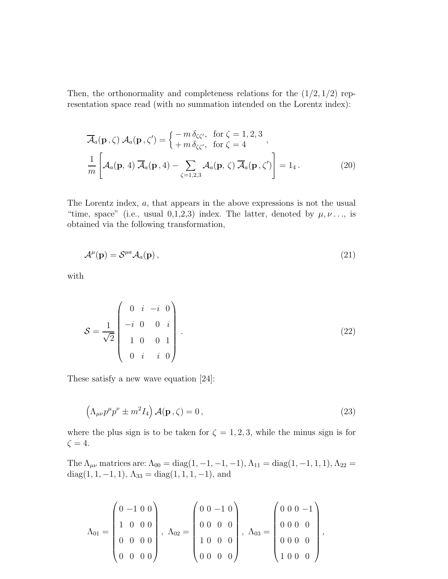Then, the orthonormality and completeness relations for the  $(1/2, 1/2)$  representation space read (with no summation intended on the Lorentz index):

$$
\overline{\mathcal{A}}_a(\mathbf{p}, \zeta) \mathcal{A}_a(\mathbf{p}, \zeta') = \begin{cases} -m \,\delta_{\zeta\zeta'}, & \text{for } \zeta = 1, 2, 3 \\ +m \,\delta_{\zeta\zeta'}, & \text{for } \zeta = 4 \end{cases},
$$
\n
$$
\frac{1}{m} \left[ \mathcal{A}_a(\mathbf{p}, 4) \, \overline{\mathcal{A}}_a(\mathbf{p}, 4) - \sum_{\zeta = 1, 2, 3} \mathcal{A}_a(\mathbf{p}, \zeta) \, \overline{\mathcal{A}}_a(\mathbf{p}, \zeta') \right] = 1_4.
$$
\n(20)

The Lorentz index, a, that appears in the above expressions is not the usual "time, space" (i.e., usual 0,1,2,3) index. The latter, denoted by  $\mu, \nu \dots$ , is obtained via the following transformation,

$$
\mathcal{A}^{\mu}(\mathbf{p}) = \mathcal{S}^{\mu a} \mathcal{A}_{a}(\mathbf{p})\,,\tag{21}
$$

with

$$
S = \frac{1}{\sqrt{2}} \begin{pmatrix} 0 & i & -i & 0 \\ -i & 0 & 0 & i \\ 1 & 0 & 0 & 1 \\ 0 & i & i & 0 \end{pmatrix} .
$$
 (22)

These satisfy a new wave equation [24]:

$$
\left(\Lambda_{\mu\nu}p^{\mu}p^{\nu}\pm m^2I_4\right)\mathcal{A}(\mathbf{p},\zeta)=0\,,\tag{23}
$$

where the plus sign is to be taken for  $\zeta = 1, 2, 3$ , while the minus sign is for  $\zeta = 4.$ 

The  $\Lambda_{\mu\nu}$  matrices are:  $\Lambda_{00} = \text{diag}(1, -1, -1, -1)$ ,  $\Lambda_{11} = \text{diag}(1, -1, 1, 1)$ ,  $\Lambda_{22} =$ diag $(1, 1, -1, 1), \Lambda_{33} = \text{diag}(1, 1, 1, -1),$  and

$$
\Lambda_{01} = \begin{pmatrix} 0 & -1 & 0 & 0 \\ 1 & 0 & 0 & 0 \\ 0 & 0 & 0 & 0 \\ 0 & 0 & 0 & 0 \end{pmatrix}, \quad \Lambda_{02} = \begin{pmatrix} 0 & 0 & -1 & 0 \\ 0 & 0 & 0 & 0 \\ 1 & 0 & 0 & 0 \\ 0 & 0 & 0 & 0 \end{pmatrix}, \quad \Lambda_{03} = \begin{pmatrix} 0 & 0 & 0 & -1 \\ 0 & 0 & 0 & 0 \\ 0 & 0 & 0 & 0 \\ 1 & 0 & 0 & 0 \end{pmatrix},
$$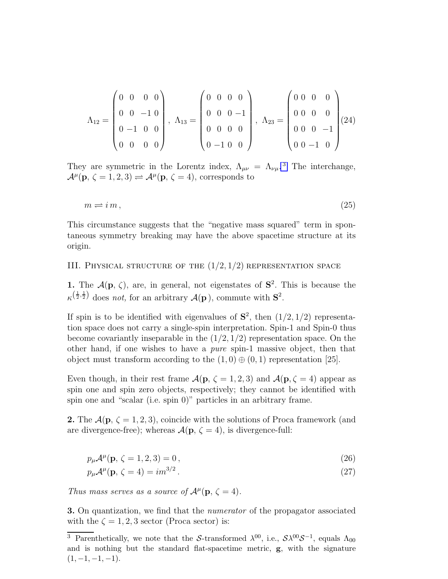$$
\Lambda_{12} = \begin{pmatrix} 0 & 0 & 0 & 0 \\ 0 & 0 & -1 & 0 \\ 0 & -1 & 0 & 0 \\ 0 & 0 & 0 & 0 \end{pmatrix}, \ \Lambda_{13} = \begin{pmatrix} 0 & 0 & 0 & 0 \\ 0 & 0 & 0 & -1 \\ 0 & 0 & 0 & 0 \\ 0 & -1 & 0 & 0 \end{pmatrix}, \ \Lambda_{23} = \begin{pmatrix} 0 & 0 & 0 & 0 \\ 0 & 0 & 0 & 0 \\ 0 & 0 & 0 & -1 \\ 0 & 0 & -1 & 0 \end{pmatrix} (24)
$$

They are symmetric in the Lorentz index,  $\Lambda_{\mu\nu} = \Lambda_{\nu\mu}$ .<sup>3</sup> The interchange,  $\mathcal{A}^{\mu}(\mathbf{p}, \zeta = 1, 2, 3) \rightleftharpoons \mathcal{A}^{\mu}(\mathbf{p}, \zeta = 4)$ , corresponds to

$$
m \rightleftharpoons i m, \tag{25}
$$

This circumstance suggests that the "negative mass squared" term in spontaneous symmetry breaking may have the above spacetime structure at its origin.

## III. PHYSICAL STRUCTURE OF THE  $(1/2, 1/2)$  representation space

1. The  $\mathcal{A}(\mathbf{p}, \zeta)$ , are, in general, not eigenstates of  $\mathbf{S}^2$ . This is because the  $\kappa^{\left(\frac{1}{2},\frac{1}{2}\right)}$  does not, for an arbitrary  $\mathcal{A}(\mathbf{p})$ , commute with  $\mathbf{S}^2$ .

If spin is to be identified with eigenvalues of  $S^2$ , then  $(1/2, 1/2)$  representation space does not carry a single-spin interpretation. Spin-1 and Spin-0 thus become covariantly inseparable in the  $(1/2, 1/2)$  representation space. On the other hand, if one wishes to have a *pure* spin-1 massive object, then that object must transform according to the  $(1,0) \oplus (0,1)$  representation [25].

Even though, in their rest frame  $\mathcal{A}(\mathbf{p}, \zeta = 1, 2, 3)$  and  $\mathcal{A}(\mathbf{p}, \zeta = 4)$  appear as spin one and spin zero objects, respectively; they cannot be identified with spin one and "scalar (i.e. spin 0)" particles in an arbitrary frame.

**2.** The  $\mathcal{A}(\mathbf{p}, \zeta = 1, 2, 3)$ , coincide with the solutions of Proca framework (and are divergence-free); whereas  $\mathcal{A}(\mathbf{p}, \zeta = 4)$ , is divergence-full:

$$
p_{\mu}\mathcal{A}^{\mu}(\mathbf{p}, \zeta = 1, 2, 3) = 0, \qquad (26)
$$

$$
p_{\mu} \mathcal{A}^{\mu}(\mathbf{p}, \zeta = 4) = im^{3/2}.
$$

Thus mass serves as a source of  $\mathcal{A}^{\mu}(\mathbf{p}, \zeta = 4)$ .

**3.** On quantization, we find that the *numerator* of the propagator associated with the  $\zeta = 1, 2, 3$  sector (Proca sector) is:

<sup>&</sup>lt;sup>3</sup> Parenthetically, we note that the S-transformed  $\lambda^{00}$ , i.e.,  $S\lambda^{00}S^{-1}$ , equals  $\Lambda_{00}$ and is nothing but the standard flat-spacetime metric, g, with the signature  $(1, -1, -1, -1).$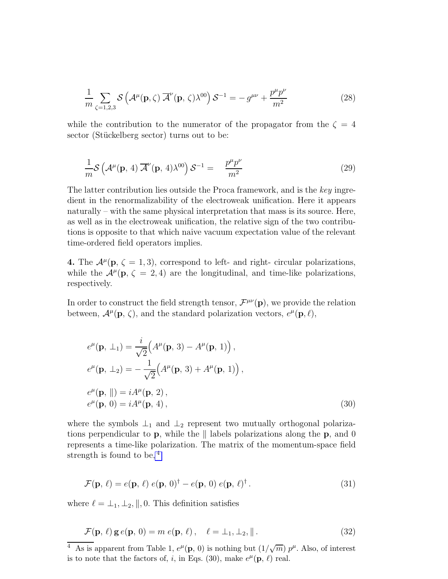$$
\frac{1}{m} \sum_{\zeta=1,2,3} \mathcal{S}\left(\mathcal{A}^{\mu}(\mathbf{p},\zeta)\,\overline{\mathcal{A}}^{\nu}(\mathbf{p},\,\zeta)\lambda^{00}\right)\mathcal{S}^{-1} = -g^{\mu\nu} + \frac{p^{\mu}p^{\nu}}{m^2}
$$
(28)

while the contribution to the numerator of the propagator from the  $\zeta = 4$ sector (Stückelberg sector) turns out to be:

$$
\frac{1}{m} \mathcal{S}\left(\mathcal{A}^{\mu}(\mathbf{p}, 4) \overline{\mathcal{A}}^{\nu}(\mathbf{p}, 4) \lambda^{00}\right) \mathcal{S}^{-1} = \frac{p^{\mu}p^{\nu}}{m^2}
$$
\n(29)

The latter contribution lies outside the Proca framework, and is the key ingredient in the renormalizability of the electroweak unification. Here it appears naturally – with the same physical interpretation that mass is its source. Here, as well as in the electroweak unification, the relative sign of the two contributions is opposite to that which naive vacuum expectation value of the relevant time-ordered field operators implies.

**4.** The  $\mathcal{A}^{\mu}(\mathbf{p}, \zeta = 1, 3)$ , correspond to left- and right- circular polarizations, while the  $\mathcal{A}^{\mu}(\mathbf{p}, \zeta = 2, 4)$  are the longitudinal, and time-like polarizations, respectively.

In order to construct the field strength tensor,  $\mathcal{F}^{\mu\nu}(\mathbf{p})$ , we provide the relation between,  $\mathcal{A}^{\mu}(\mathbf{p}, \zeta)$ , and the standard polarization vectors,  $e^{\mu}(\mathbf{p}, \ell)$ ,

$$
e^{\mu}(\mathbf{p}, \perp_{1}) = \frac{i}{\sqrt{2}} \Big( A^{\mu}(\mathbf{p}, 3) - A^{\mu}(\mathbf{p}, 1) \Big),
$$
  
\n
$$
e^{\mu}(\mathbf{p}, \perp_{2}) = -\frac{1}{\sqrt{2}} \Big( A^{\mu}(\mathbf{p}, 3) + A^{\mu}(\mathbf{p}, 1) \Big),
$$
  
\n
$$
e^{\mu}(\mathbf{p}, \|) = i A^{\mu}(\mathbf{p}, 2),
$$
  
\n
$$
e^{\mu}(\mathbf{p}, 0) = i A^{\mu}(\mathbf{p}, 4),
$$
\n(30)

where the symbols  $\perp_1$  and  $\perp_2$  represent two mutually orthogonal polarizations perpendicular to **p**, while the  $\parallel$  labels polarizations along the **p**, and 0 represents a time-like polarization. The matrix of the momentum-space field strength is found to be, <sup>4</sup>

$$
\mathcal{F}(\mathbf{p}, \ell) = e(\mathbf{p}, \ell) e(\mathbf{p}, 0)^{\dagger} - e(\mathbf{p}, 0) e(\mathbf{p}, \ell)^{\dagger}.
$$
\n(31)

where  $\ell = \perp_1, \perp_2, \parallel, 0$ . This definition satisfies

$$
\mathcal{F}(\mathbf{p}, \ell) \mathbf{g} e(\mathbf{p}, 0) = m e(\mathbf{p}, \ell), \quad \ell = \perp_1, \perp_2, \|\,. \tag{32}
$$

<sup>&</sup>lt;sup>4</sup> As is apparent from Table 1,  $e^{\mu}(\mathbf{p}, 0)$  is nothing but  $(1/\sqrt{m}) p^{\mu}$ . Also, of interest is to note that the factors of, *i*, in Eqs. (30), make  $e^{\mu}(\mathbf{p}, \ell)$  real.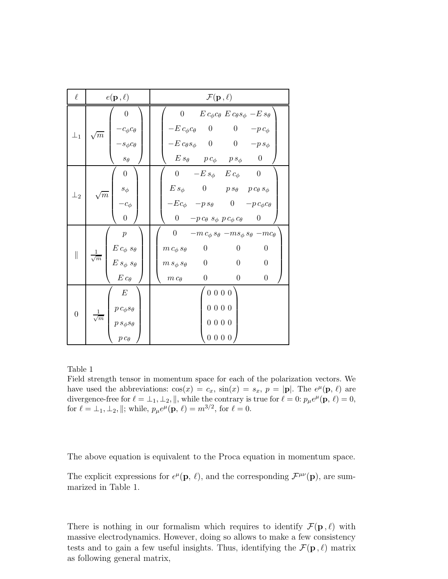| $\ell$           | $e(\mathbf{p}, \ell)$                                                                                          | $\mathcal{F}(\mathbf{p},\ell)$                                                                                                                                                                                                                                                                            |
|------------------|----------------------------------------------------------------------------------------------------------------|-----------------------------------------------------------------------------------------------------------------------------------------------------------------------------------------------------------------------------------------------------------------------------------------------------------|
| $\perp_1$        | $\boldsymbol{0}$<br>$-c_{\phi}c_{\theta}$<br>$-s_{\phi}c_{\theta}$<br>$\sqrt{m}$<br>$s_{\theta}$               | $\begin{matrix} 0 \end{matrix}$<br>$E c_{\phi} c_{\theta} E c_{\theta} s_{\phi} - E s_{\theta}$<br>$-E c_{\phi} c_{\theta}$ 0 0<br>$-p c_{\phi}$<br>$-E c_{\theta} s_{\phi}$ 0 0 $-p s_{\phi}$<br>$E s_{\theta}$ $p c_{\phi}$ $p s_{\phi}$<br>$\overline{0}$                                              |
| $\perp_2$        | $\boldsymbol{0}$<br>$s_{\phi}$<br>$\sqrt{m}$<br>$-c_{\phi}$<br>$\boldsymbol{0}$                                | 0 $-E s_{\phi}$ $E c_{\phi}$ 0<br>$E \, s_{\phi} \qquad 0 \qquad \  p \, s_{\theta} \quad \, p \, c_{\theta} \, s_{\phi}$<br>$-Ec_{\phi} \quad -p \, s_{\theta} \qquad 0 \quad -p \, c_{\phi} c_{\theta}$<br>0 $-p c_{\theta} s_{\phi} p c_{\phi} c_{\theta}$ 0                                           |
| $\parallel$      | $\boldsymbol{p}$<br>$E\,c_\phi\,s_\theta$ $E\,s_\phi\,s_\theta$<br>$\frac{1}{\sqrt{m}}$<br>$E\,c_\theta$       | 0 $-m c_{\phi} s_{\theta} - m s_{\phi} s_{\theta} - m c_{\theta}$<br>$\overline{0}$<br>$\boldsymbol{0}$<br>$\boldsymbol{0}$<br>$m c_{\phi} s_{\theta}$<br>$\boldsymbol{0}$<br>$\boldsymbol{0}$<br>$m s_{\phi} s_{\theta}$ 0<br>$\boldsymbol{0}$<br>$\boldsymbol{0}$<br>$\boldsymbol{0}$<br>$m c_{\theta}$ |
| $\boldsymbol{0}$ | $\boldsymbol{E}$<br>$p \, c_\phi s_\theta$<br>$\frac{1}{\sqrt{m}}$  <br>$p\,s_\phi s_\theta$<br>$p c_{\theta}$ | 0000<br>0000<br>0000<br>$0\ 0\ 0\ 0$                                                                                                                                                                                                                                                                      |

Table 1

Field strength tensor in momentum space for each of the polarization vectors. We have used the abbreviations:  $\cos(x) = c_x$ ,  $\sin(x) = s_x$ ,  $p = |\mathbf{p}|$ . The  $e^{\mu}(\mathbf{p}, \ell)$  are divergence-free for  $\ell = \perp_1, \perp_2, \parallel$ , while the contrary is true for  $\ell = 0$ :  $p_\mu e^\mu(\mathbf{p}, \ell) = 0$ , for  $\ell = \perp_1, \perp_2, \|$ ; while,  $p_{\mu}e^{\mu}(\mathbf{p}, \ell) = m^{3/2}$ , for  $\ell = 0$ .

The above equation is equivalent to the Proca equation in momentum space.

The explicit expressions for  $\epsilon^{\mu}(\mathbf{p}, \ell)$ , and the corresponding  $\mathcal{F}^{\mu\nu}(\mathbf{p})$ , are summarized in Table 1.

There is nothing in our formalism which requires to identify  $\mathcal{F}(\mathbf{p}, \ell)$  with massive electrodynamics. However, doing so allows to make a few consistency tests and to gain a few useful insights. Thus, identifying the  $\mathcal{F}(\mathbf{p}, \ell)$  matrix as following general matrix,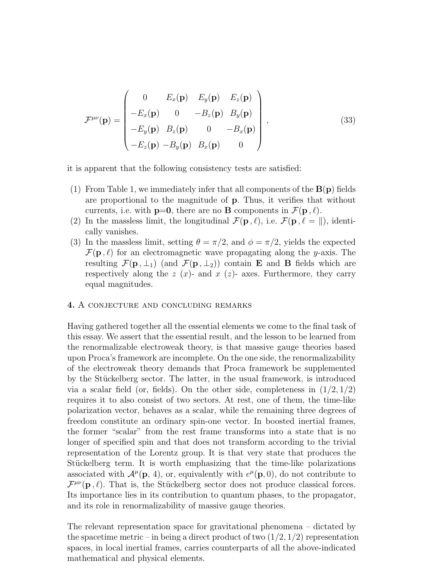$$
\mathcal{F}^{\mu\nu}(\mathbf{p}) = \begin{pmatrix}\n0 & E_x(\mathbf{p}) & E_y(\mathbf{p}) & E_z(\mathbf{p}) \\
-E_x(\mathbf{p}) & 0 & -B_z(\mathbf{p}) & B_y(\mathbf{p}) \\
-E_y(\mathbf{p}) & B_z(\mathbf{p}) & 0 & -B_x(\mathbf{p}) \\
-E_z(\mathbf{p}) & -B_y(\mathbf{p}) & B_x(\mathbf{p}) & 0\n\end{pmatrix},
$$
\n(33)

it is apparent that the following consistency tests are satisfied:

- (1) From Table 1, we immediately infer that all components of the  $B(p)$  fields are proportional to the magnitude of p. Thus, it verifies that without currents, i.e. with  $p=0$ , there are no **B** components in  $\mathcal{F}(p, \ell)$ .
- (2) In the massless limit, the longitudinal  $\mathcal{F}(\mathbf{p}, \ell)$ , i.e.  $\mathcal{F}(\mathbf{p}, \ell = \|)$ , identically vanishes.
- (3) In the massless limit, setting  $\theta = \pi/2$ , and  $\phi = \pi/2$ , yields the expected  $\mathcal{F}(\mathbf{p}, \ell)$  for an electromagnetic wave propagating along the y-axis. The resulting  $\mathcal{F}(\mathbf{p}, \perp_1)$  (and  $\mathcal{F}(\mathbf{p}, \perp_2)$ ) contain **E** and **B** fields which are respectively along the  $z(x)$ - and  $x(z)$ - axes. Furthermore, they carry equal magnitudes.

## 4. A conjecture and concluding remarks

Having gathered together all the essential elements we come to the final task of this essay. We assert that the essential result, and the lesson to be learned from the renormalizable electroweak theory, is that massive gauge theories based upon Proca's framework are incomplete. On the one side, the renormalizability of the electroweak theory demands that Proca framework be supplemented by the Stückelberg sector. The latter, in the usual framework, is introduced via a scalar field (or, fields). On the other side, completeness in  $(1/2, 1/2)$ requires it to also consist of two sectors. At rest, one of them, the time-like polarization vector, behaves as a scalar, while the remaining three degrees of freedom constitute an ordinary spin-one vector. In boosted inertial frames, the former "scalar" from the rest frame transforms into a state that is no longer of specified spin and that does not transform according to the trivial representation of the Lorentz group. It is that very state that produces the Stückelberg term. It is worth emphasizing that the time-like polarizations associated with  $\mathcal{A}^{\mu}(\mathbf{p}, 4)$ , or, equivalently with  $e^{\mu}(\mathbf{p}, 0)$ , do not contribute to  $\mathcal{F}^{\mu\nu}(\mathbf{p}, \ell)$ . That is, the Stückelberg sector does not produce classical forces. Its importance lies in its contribution to quantum phases, to the propagator, and its role in renormalizability of massive gauge theories.

The relevant representation space for gravitational phenomena – dictated by the spacetime metric – in being a direct product of two  $(1/2, 1/2)$  representation spaces, in local inertial frames, carries counterparts of all the above-indicated mathematical and physical elements.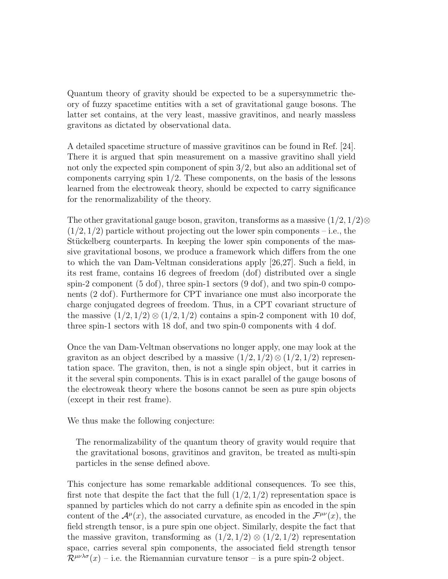Quantum theory of gravity should be expected to be a supersymmetric theory of fuzzy spacetime entities with a set of gravitational gauge bosons. The latter set contains, at the very least, massive gravitinos, and nearly massless gravitons as dictated by observational data.

A detailed spacetime structure of massive gravitinos can be found in Ref. [24]. There it is argued that spin measurement on a massive gravitino shall yield not only the expected spin component of spin 3/2, but also an additional set of components carrying spin  $1/2$ . These components, on the basis of the lessons learned from the electroweak theory, should be expected to carry significance for the renormalizability of the theory.

The other gravitational gauge boson, graviton, transforms as a massive  $(1/2, 1/2)$ ⊗  $(1/2, 1/2)$  particle without projecting out the lower spin components – i.e., the Stückelberg counterparts. In keeping the lower spin components of the massive gravitational bosons, we produce a framework which differs from the one to which the van Dam-Veltman considerations apply [26,27]. Such a field, in its rest frame, contains 16 degrees of freedom (dof) distributed over a single spin-2 component (5 dof), three spin-1 sectors (9 dof), and two spin-0 components (2 dof). Furthermore for CPT invariance one must also incorporate the charge conjugated degrees of freedom. Thus, in a CPT covariant structure of the massive  $(1/2, 1/2) \otimes (1/2, 1/2)$  contains a spin-2 component with 10 dof, three spin-1 sectors with 18 dof, and two spin-0 components with 4 dof.

Once the van Dam-Veltman observations no longer apply, one may look at the graviton as an object described by a massive  $(1/2, 1/2) \otimes (1/2, 1/2)$  representation space. The graviton, then, is not a single spin object, but it carries in it the several spin components. This is in exact parallel of the gauge bosons of the electroweak theory where the bosons cannot be seen as pure spin objects (except in their rest frame).

We thus make the following conjecture:

The renormalizability of the quantum theory of gravity would require that the gravitational bosons, gravitinos and graviton, be treated as multi-spin particles in the sense defined above.

This conjecture has some remarkable additional consequences. To see this, first note that despite the fact that the full  $(1/2, 1/2)$  representation space is spanned by particles which do not carry a definite spin as encoded in the spin content of the  $\mathcal{A}^{\mu}(x)$ , the associated curvature, as encoded in the  $\mathcal{F}^{\mu\nu}(x)$ , the field strength tensor, is a pure spin one object. Similarly, despite the fact that the massive graviton, transforming as  $(1/2, 1/2) \otimes (1/2, 1/2)$  representation space, carries several spin components, the associated field strength tensor  $\mathcal{R}^{\mu\nu\lambda\sigma}(x)$  – i.e. the Riemannian curvature tensor – is a pure spin-2 object.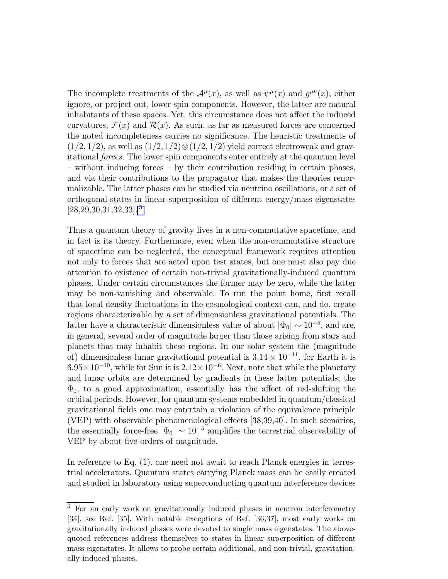The incomplete treatments of the  $\mathcal{A}^{\mu}(x)$ , as well as  $\psi^{\mu}(x)$  and  $g^{\mu\nu}(x)$ , either ignore, or project out, lower spin components. However, the latter are natural inhabitants of these spaces. Yet, this circumstance does not affect the induced curvatures,  $\mathcal{F}(x)$  and  $\mathcal{R}(x)$ . As such, as far as measured forces are concerned the noted incompleteness carries no significance. The heuristic treatments of  $(1/2, 1/2)$ , as well as  $(1/2, 1/2) \otimes (1/2, 1/2)$  yield correct electroweak and gravitational forces. The lower spin components enter entirely at the quantum level – without inducing forces – by their contribution residing in certain phases, and via their contributions to the propagator that makes the theories renormalizable. The latter phases can be studied via neutrino oscillations, or a set of orthogonal states in linear superposition of different energy/mass eigenstates [28,29,30,31,32,33]. <sup>5</sup>

Thus a quantum theory of gravity lives in a non-commutative spacetime, and in fact is its theory. Furthermore, even when the non-commutative structure of spacetime can be neglected, the conceptual framework requires attention not only to forces that are acted upon test states, but one must also pay due attention to existence of certain non-trivial gravitationally-induced quantum phases. Under certain circumstances the former may be zero, while the latter may be non-vanishing and observable. To run the point home, first recall that local density fluctuations in the cosmological context can, and do, create regions characterizable by a set of dimensionless gravitational potentials. The latter have a characteristic dimensionless value of about  $|\Phi_0| \sim 10^{-5}$ , and are, in general, several order of magnitude larger than those arising from stars and planets that may inhabit these regions. In our solar system the (magnitude of) dimensionless lunar gravitational potential is  $3.14 \times 10^{-11}$ , for Earth it is  $6.95 \times 10^{-10}$ , while for Sun it is  $2.12 \times 10^{-6}$ . Next, note that while the planetary and lunar orbits are determined by gradients in these latter potentials; the  $\Phi_0$ , to a good approximation, essentially has the affect of red-shifting the orbital periods. However, for quantum systems embedded in quantum/classical gravitational fields one may entertain a violation of the equivalence principle (VEP) with observable phenomenological effects [38,39,40]. In such scenarios, the essentially force-free  $|\Phi_0| \sim 10^{-5}$  amplifies the terrestrial observability of VEP by about five orders of magnitude.

In reference to Eq. (1), one need not await to reach Planck energies in terrestrial accelerators. Quantum states carrying Planck mass can be easily created and studied in laboratory using superconducting quantum interference devices

<sup>&</sup>lt;sup>5</sup> For an early work on gravitationally induced phases in neutron interferometry [34], see Ref. [35]. With notable exceptions of Ref. [36,37], most early works on gravitationally induced phases were devoted to single mass eigenstates. The abovequoted references address themselves to states in linear superposition of different mass eigenstates. It allows to probe certain additional, and non-trivial, gravitationally induced phases.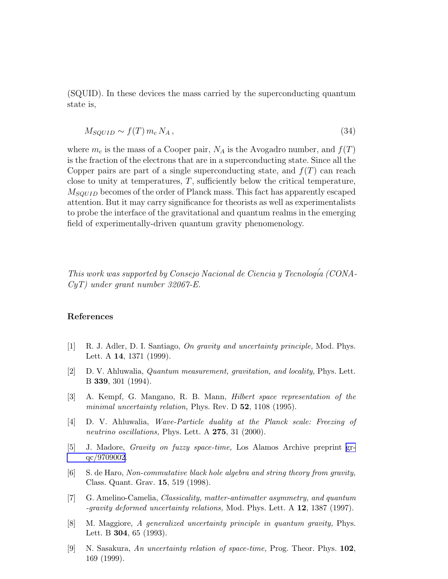(SQUID). In these devices the mass carried by the superconducting quantum state is,

$$
M_{SQUID} \sim f(T) \, m_c \, N_A \,,\tag{34}
$$

where  $m_c$  is the mass of a Cooper pair,  $N_A$  is the Avogadro number, and  $f(T)$ is the fraction of the electrons that are in a superconducting state. Since all the Copper pairs are part of a single superconducting state, and  $f(T)$  can reach close to unity at temperatures,  $T$ , sufficiently below the critical temperature,  $M_{SOUTD}$  becomes of the order of Planck mass. This fact has apparently escaped attention. But it may carry significance for theorists as well as experimentalists to probe the interface of the gravitational and quantum realms in the emerging field of experimentally-driven quantum gravity phenomenology.

This work was supported by Consejo Nacional de Ciencia y Tecnología (CONA-CyT) under grant number 32067-E.

### References

- [1] R. J. Adler, D. I. Santiago, On gravity and uncertainty principle, Mod. Phys. Lett. A 14, 1371 (1999).
- [2] D. V. Ahluwalia, Quantum measurement, gravitation, and locality, Phys. Lett. B 339, 301 (1994).
- [3] A. Kempf, G. Mangano, R. B. Mann, Hilbert space representation of the minimal uncertainty relation, Phys. Rev. D 52, 1108 (1995).
- [4] D. V. Ahluwalia, Wave-Particle duality at the Planck scale: Freezing of neutrino oscillations, Phys. Lett. A 275, 31 (2000).
- [5] J. Madore, Gravity on fuzzy space-time, Los Alamos Archive preprint [gr](http://arxiv.org/abs/gr-qc/9709002)[qc/9709002](http://arxiv.org/abs/gr-qc/9709002).
- [6] S. de Haro, Non-commutative black hole algebra and string theory from gravity, Class. Quant. Grav. 15, 519 (1998).
- [7] G. Amelino-Camelia, Classicality, matter-antimatter asymmetry, and quantum -gravity deformed uncertainty relations, Mod. Phys. Lett. A 12, 1387 (1997).
- [8] M. Maggiore, A generalized uncertainty principle in quantum gravity, Phys. Lett. B 304, 65 (1993).
- [9] N. Sasakura, An uncertainty relation of space-time, Prog. Theor. Phys. 102, 169 (1999).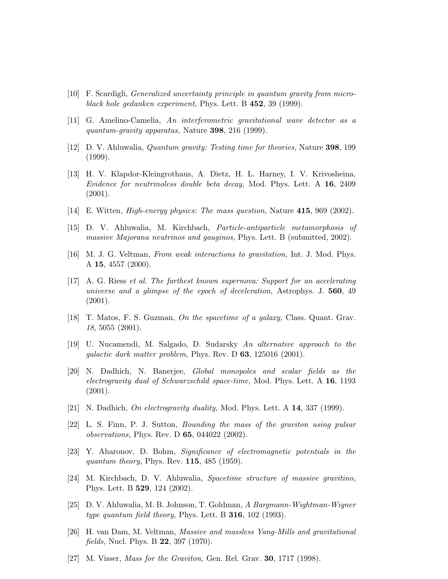- [10] F. Scardigli, Generalized uncertainty principle in quantum gravity from microblack hole gedanken experiment, Phys. Lett. B 452, 39 (1999).
- [11] G. Amelino-Camelia, An interferometric gravitational wave detector as a quantum-gravity apparatus, Nature 398, 216 (1999).
- [12] D. V. Ahluwalia, Quantum gravity: Testing time for theories, Nature 398, 199 (1999).
- [13] H. V. Klapdor-Kleingrothaus, A. Dietz, H. L. Harney, I. V. Krivosheina, Evidence for neutrinoless double beta decay, Mod. Phys. Lett. A 16, 2409 (2001).
- [14] E. Witten, High-energy physics: The mass question, Nature 415, 969 (2002).
- [15] D. V. Ahluwalia, M. Kirchbach, Particle-antiparticle metamorphosis of massive Majorana neutrinos and gauginos, Phys. Lett. B (submitted, 2002).
- [16] M. J. G. Veltman, From weak interactions to gravitation, Int. J. Mod. Phys. A 15, 4557 (2000).
- [17] A. G. Riess et al. The farthest known supernova: Support for an accelerating universe and a glimpse of the epoch of deceleration, Astrophys. J.  $560, 49$ (2001).
- [18] T. Matos, F. S. Guzman, On the spacetime of a galaxy, Class. Quant. Grav. 18, 5055 (2001).
- [19] U. Nucamendi, M. Salgado, D. Sudarsky An alternative approach to the *galactic dark matter problem, Phys. Rev. D* 63, 125016  $(2001)$ .
- [20] N. Dadhich, N. Banerjee, Global monopoles and scalar fields as the electrogravity dual of Schwarzschild space-time, Mod. Phys. Lett. A 16, 1193  $(2001).$
- [21] N. Dadhich, On electrogravity duality, Mod. Phys. Lett. A 14, 337 (1999).
- [22] L. S. Finn, P. J. Sutton, Bounding the mass of the graviton using pulsar observations, Phys. Rev. D 65, 044022 (2002).
- [23] Y. Aharonov, D. Bohm, Significance of electromagnetic potentials in the quantum theory, Phys. Rev.  $115$ ,  $485$  (1959).
- [24] M. Kirchbach, D. V. Ahluwalia, Spacetime structure of massive gravitino, Phys. Lett. B 529, 124 (2002).
- [25] D. V. Ahluwalia, M. B. Johnson, T. Goldman, A Bargmann-Wightman-Wigner type quantum field theory, Phys. Lett. B  $316$ , 102 (1993).
- [26] H. van Dam, M. Veltman, Massive and massless Yang-Mills and gravitational fields, Nucl. Phys. B 22, 397 (1970).
- [27] M. Visser, *Mass for the Graviton*, Gen. Rel. Grav. **30**, 1717 (1998).